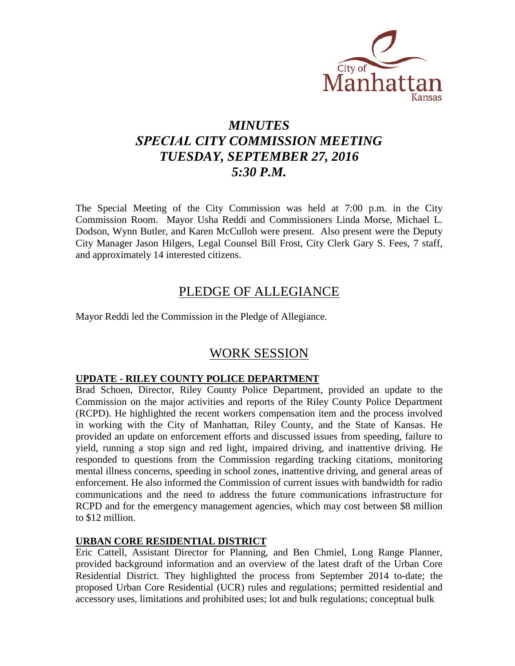

# *MINUTES SPECIAL CITY COMMISSION MEETING TUESDAY, SEPTEMBER 27, 2016 5:30 P.M.*

The Special Meeting of the City Commission was held at 7:00 p.m. in the City Commission Room. Mayor Usha Reddi and Commissioners Linda Morse, Michael L. Dodson, Wynn Butler, and Karen McCulloh were present. Also present were the Deputy City Manager Jason Hilgers, Legal Counsel Bill Frost, City Clerk Gary S. Fees, 7 staff, and approximately 14 interested citizens.

### PLEDGE OF ALLEGIANCE

Mayor Reddi led the Commission in the Pledge of Allegiance.

## WORK SESSION

### **UPDATE - RILEY COUNTY POLICE DEPARTMENT**

Brad Schoen, Director, Riley County Police Department, provided an update to the Commission on the major activities and reports of the Riley County Police Department (RCPD). He highlighted the recent workers compensation item and the process involved in working with the City of Manhattan, Riley County, and the State of Kansas. He provided an update on enforcement efforts and discussed issues from speeding, failure to yield, running a stop sign and red light, impaired driving, and inattentive driving. He responded to questions from the Commission regarding tracking citations, monitoring mental illness concerns, speeding in school zones, inattentive driving, and general areas of enforcement. He also informed the Commission of current issues with bandwidth for radio communications and the need to address the future communications infrastructure for RCPD and for the emergency management agencies, which may cost between \$8 million to \$12 million.

### **URBAN CORE RESIDENTIAL DISTRICT**

Eric Cattell, Assistant Director for Planning, and Ben Chmiel, Long Range Planner, provided background information and an overview of the latest draft of the Urban Core Residential District. They highlighted the process from September 2014 to-date; the proposed Urban Core Residential (UCR) rules and regulations; permitted residential and accessory uses, limitations and prohibited uses; lot and bulk regulations; conceptual bulk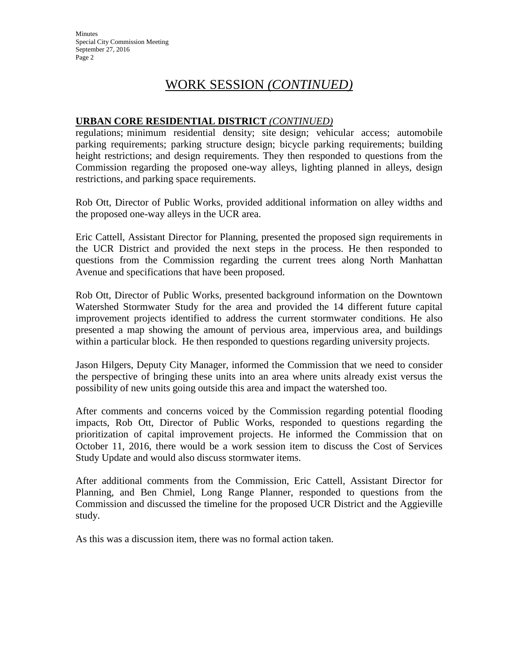**Minutes** Special City Commission Meeting September 27, 2016 Page 2

## WORK SESSION *(CONTINUED)*

### **URBAN CORE RESIDENTIAL DISTRICT** *(CONTINUED)*

regulations; minimum residential density; site design; vehicular access; automobile parking requirements; parking structure design; bicycle parking requirements; building height restrictions; and design requirements. They then responded to questions from the Commission regarding the proposed one-way alleys, lighting planned in alleys, design restrictions, and parking space requirements.

Rob Ott, Director of Public Works, provided additional information on alley widths and the proposed one-way alleys in the UCR area.

Eric Cattell, Assistant Director for Planning, presented the proposed sign requirements in the UCR District and provided the next steps in the process. He then responded to questions from the Commission regarding the current trees along North Manhattan Avenue and specifications that have been proposed.

Rob Ott, Director of Public Works, presented background information on the Downtown Watershed Stormwater Study for the area and provided the 14 different future capital improvement projects identified to address the current stormwater conditions. He also presented a map showing the amount of pervious area, impervious area, and buildings within a particular block. He then responded to questions regarding university projects.

Jason Hilgers, Deputy City Manager, informed the Commission that we need to consider the perspective of bringing these units into an area where units already exist versus the possibility of new units going outside this area and impact the watershed too.

After comments and concerns voiced by the Commission regarding potential flooding impacts, Rob Ott, Director of Public Works, responded to questions regarding the prioritization of capital improvement projects. He informed the Commission that on October 11, 2016, there would be a work session item to discuss the Cost of Services Study Update and would also discuss stormwater items.

After additional comments from the Commission, Eric Cattell, Assistant Director for Planning, and Ben Chmiel, Long Range Planner, responded to questions from the Commission and discussed the timeline for the proposed UCR District and the Aggieville study.

As this was a discussion item, there was no formal action taken.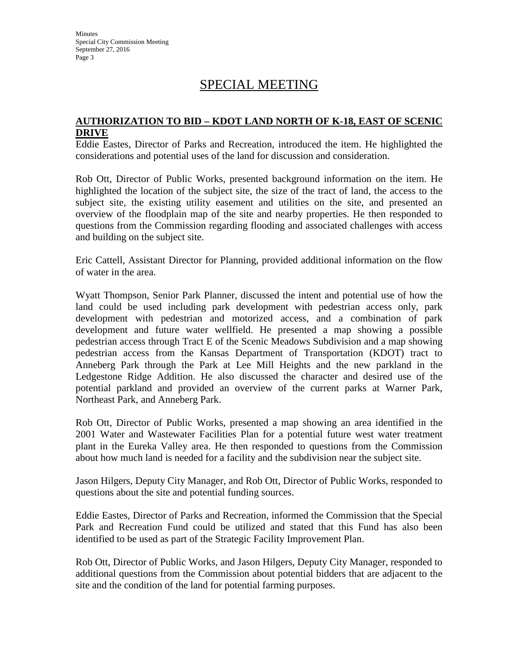Minutes Special City Commission Meeting September 27, 2016 Page 3

# SPECIAL MEETING

#### **AUTHORIZATION TO BID – KDOT LAND NORTH OF K-18, EAST OF SCENIC DRIVE**

Eddie Eastes, Director of Parks and Recreation, introduced the item. He highlighted the considerations and potential uses of the land for discussion and consideration.

Rob Ott, Director of Public Works, presented background information on the item. He highlighted the location of the subject site, the size of the tract of land, the access to the subject site, the existing utility easement and utilities on the site, and presented an overview of the floodplain map of the site and nearby properties. He then responded to questions from the Commission regarding flooding and associated challenges with access and building on the subject site.

Eric Cattell, Assistant Director for Planning, provided additional information on the flow of water in the area.

Wyatt Thompson, Senior Park Planner, discussed the intent and potential use of how the land could be used including park development with pedestrian access only, park development with pedestrian and motorized access, and a combination of park development and future water wellfield. He presented a map showing a possible pedestrian access through Tract E of the Scenic Meadows Subdivision and a map showing pedestrian access from the Kansas Department of Transportation (KDOT) tract to Anneberg Park through the Park at Lee Mill Heights and the new parkland in the Ledgestone Ridge Addition. He also discussed the character and desired use of the potential parkland and provided an overview of the current parks at Warner Park, Northeast Park, and Anneberg Park.

Rob Ott, Director of Public Works, presented a map showing an area identified in the 2001 Water and Wastewater Facilities Plan for a potential future west water treatment plant in the Eureka Valley area. He then responded to questions from the Commission about how much land is needed for a facility and the subdivision near the subject site.

Jason Hilgers, Deputy City Manager, and Rob Ott, Director of Public Works, responded to questions about the site and potential funding sources.

Eddie Eastes, Director of Parks and Recreation, informed the Commission that the Special Park and Recreation Fund could be utilized and stated that this Fund has also been identified to be used as part of the Strategic Facility Improvement Plan.

Rob Ott, Director of Public Works, and Jason Hilgers, Deputy City Manager, responded to additional questions from the Commission about potential bidders that are adjacent to the site and the condition of the land for potential farming purposes.